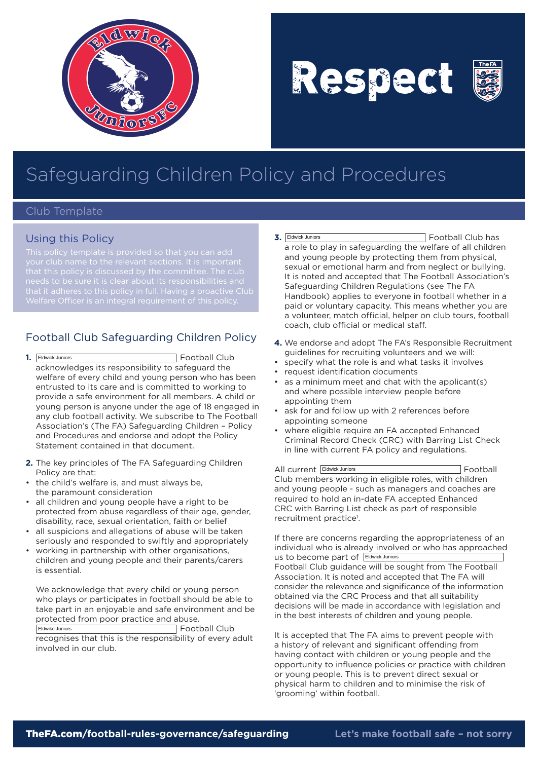

Respect



## Safeguarding Children Policy and Procedures

## Club Template

## Using this Policy

that it adheres to this policy in full. Having a proactive Club

## Football Club Safeguarding Children Policy

- **1.** Football Club acknowledges its responsibility to safeguard the welfare of every child and young person who has been entrusted to its care and is committed to working to provide a safe environment for all members. A child or young person is anyone under the age of 18 engaged in any club football activity. We subscribe to The Football Association's (The FA) Safeguarding Children – Policy and Procedures and endorse and adopt the Policy Statement contained in that document. 1. Eldwick Juniors
- **2.** The key principles of The FA Safeguarding Children Policy are that:
- the child's welfare is, and must always be, the paramount consideration
- all children and young people have a right to be protected from abuse regardless of their age, gender, disability, race, sexual orientation, faith or belief
- all suspicions and allegations of abuse will be taken seriously and responded to swiftly and appropriately
- working in partnership with other organisations, children and young people and their parents/carers is essential.

We acknowledge that every child or young person who plays or participates in football should be able to take part in an enjoyable and safe environment and be protected from poor practice and abuse. Football Club

recognises that this is the responsibility of every adult involved in our club. Eldwikc Juniors

- **3.** Football Club has a role to play in safeguarding the welfare of all children and young people by protecting them from physical, sexual or emotional harm and from neglect or bullying. It is noted and accepted that The Football Association's Safeguarding Children Regulations (see The FA Handbook) applies to everyone in football whether in a paid or voluntary capacity. This means whether you are a volunteer, match official, helper on club tours, football coach, club official or medical staff. **3.** Eldwick Juniors
- **4.** We endorse and adopt The FA's Responsible Recruitment guidelines for recruiting volunteers and we will:
- specify what the role is and what tasks it involves
- • request identification documents
- • as a minimum meet and chat with the applicant(s) and where possible interview people before appointing them
- ask for and follow up with 2 references before appointing someone
- where eligible require an FA accepted Enhanced Criminal Record Check (CRC) with Barring List Check in line with current FA policy and regulations.

All current **Eldwick Juniors Eldwick Juniors Example 2** Football Club members working in eligible roles, with children and young people - such as managers and coaches are required to hold an in-date FA accepted Enhanced CRC with Barring List check as part of responsible recruitment practice<sup>1</sup>.

If there are concerns regarding the appropriateness of an individual who is already involved or who has approached us to become part of Eldwick Juniors Football Club guidance will be sought from The Football Association. It is noted and accepted that The FA will consider the relevance and significance of the information obtained via the CRC Process and that all suitability decisions will be made in accordance with legislation and in the best interests of children and young people.

It is accepted that The FA aims to prevent people with a history of relevant and significant offending from having contact with children or young people and the opportunity to influence policies or practice with children or young people. This is to prevent direct sexual or physical harm to children and to minimise the risk of 'grooming' within football.